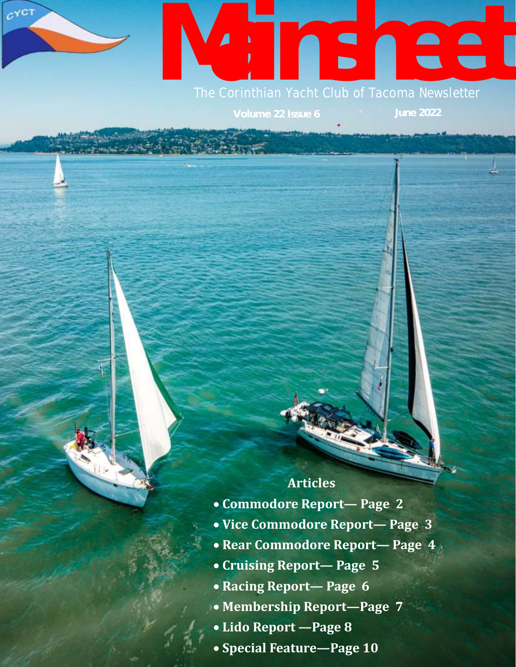# **Mainsheet Manual Script Club of Tacoma Newsletter**

 $c^{\gamma C T}$ 

## **Articles**

- **Commodore Report— Page 2**
- **Vice Commodore Report— Page 3**
- **Rear Commodore Report— Page 4**
- **Cruising Report— Page 5**
- **Racing Report— Page 6**
- **Membership Report—Page 7**
- **Lido Report —Page 8**
- **Special Feature—Page 10**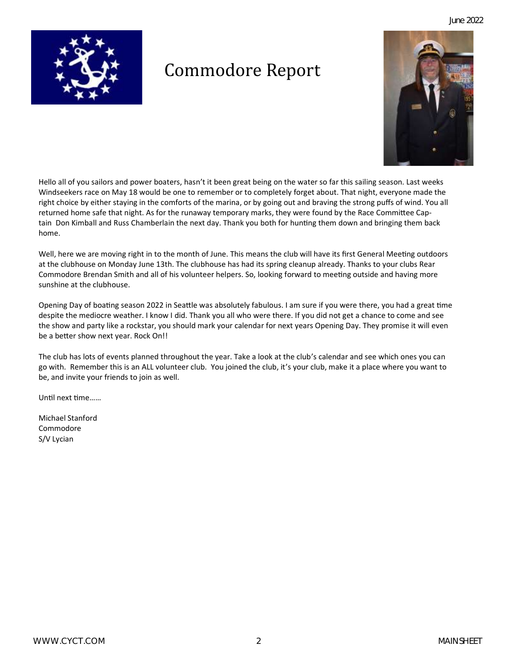

# Commodore Report



Hello all of you sailors and power boaters, hasn't it been great being on the water so far this sailing season. Last weeks Windseekers race on May 18 would be one to remember or to completely forget about. That night, everyone made the right choice by either staying in the comforts of the marina, or by going out and braving the strong puffs of wind. You all returned home safe that night. As for the runaway temporary marks, they were found by the Race Committee Captain Don Kimball and Russ Chamberlain the next day. Thank you both for hunting them down and bringing them back home.

Well, here we are moving right in to the month of June. This means the club will have its first General Meeting outdoors at the clubhouse on Monday June 13th. The clubhouse has had its spring cleanup already. Thanks to your clubs Rear Commodore Brendan Smith and all of his volunteer helpers. So, looking forward to meeting outside and having more sunshine at the clubhouse.

Opening Day of boating season 2022 in Seattle was absolutely fabulous. I am sure if you were there, you had a great time despite the mediocre weather. I know I did. Thank you all who were there. If you did not get a chance to come and see the show and party like a rockstar, you should mark your calendar for next years Opening Day. They promise it will even be a better show next year. Rock On!!

The club has lots of events planned throughout the year. Take a look at the club's calendar and see which ones you can go with. Remember this is an ALL volunteer club. You joined the club, it's your club, make it a place where you want to be, and invite your friends to join as well.

Until next time……

Michael Stanford Commodore S/V Lycian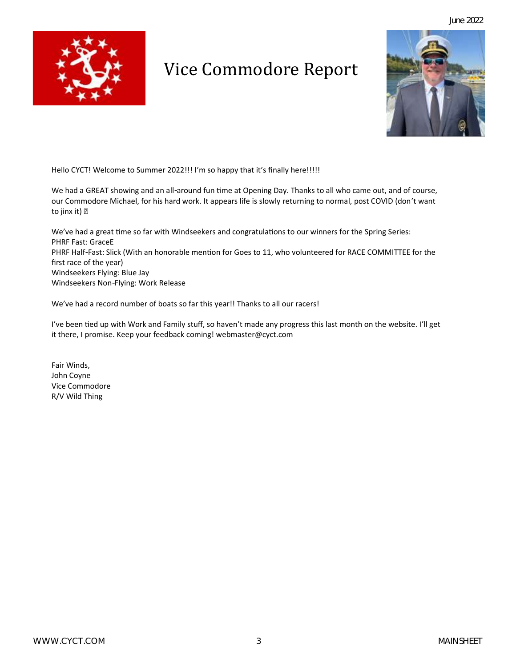

# Vice Commodore Report



Hello CYCT! Welcome to Summer 2022!!! I'm so happy that it's finally here!!!!!

We had a GREAT showing and an all-around fun time at Opening Day. Thanks to all who came out, and of course, our Commodore Michael, for his hard work. It appears life is slowly returning to normal, post COVID (don't want to jinx it) **?** 

We've had a great time so far with Windseekers and congratulations to our winners for the Spring Series: PHRF Fast: GraceE PHRF Half-Fast: Slick (With an honorable mention for Goes to 11, who volunteered for RACE COMMITTEE for the first race of the year) Windseekers Flying: Blue Jay Windseekers Non-Flying: Work Release

We've had a record number of boats so far this year!! Thanks to all our racers!

I've been tied up with Work and Family stuff, so haven't made any progress this last month on the website. I'll get it there, I promise. Keep your feedback coming! webmaster@cyct.com

Fair Winds, John Coyne Vice Commodore R/V Wild Thing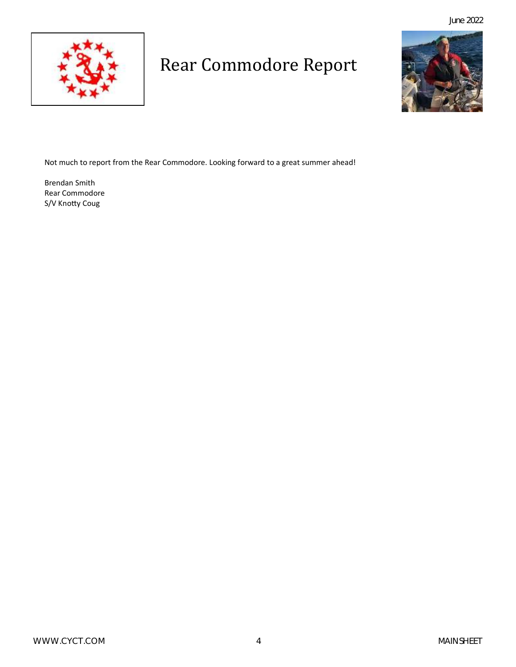

# Rear Commodore Report



Not much to report from the Rear Commodore. Looking forward to a great summer ahead!

Brendan Smith Rear Commodore S/V Knotty Coug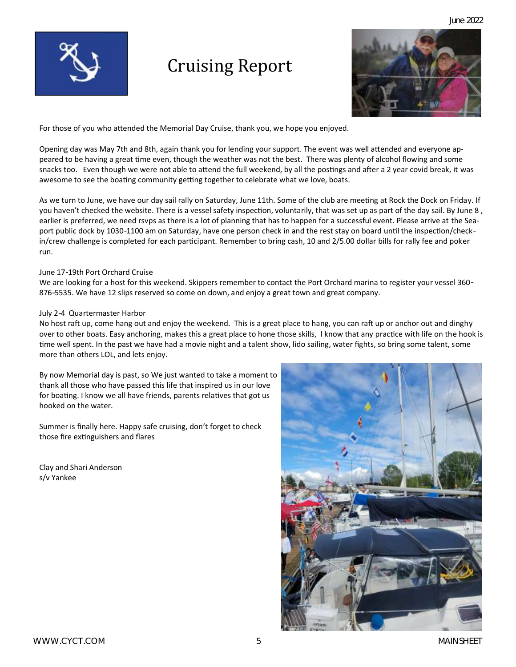

# Cruising Report



For those of you who attended the Memorial Day Cruise, thank you, we hope you enjoyed.

Opening day was May 7th and 8th, again thank you for lending your support. The event was well attended and everyone appeared to be having a great time even, though the weather was not the best. There was plenty of alcohol flowing and some snacks too. Even though we were not able to attend the full weekend, by all the postings and after a 2 year covid break, it was awesome to see the boating community getting together to celebrate what we love, boats.

As we turn to June, we have our day sail rally on Saturday, June 11th. Some of the club are meeting at Rock the Dock on Friday. If you haven't checked the website. There is a vessel safety inspection, voluntarily, that was set up as part of the day sail. By June 8 , earlier is preferred, we need rsvps as there is a lot of planning that has to happen for a successful event. Please arrive at the Seaport public dock by 1030-1100 am on Saturday, have one person check in and the rest stay on board until the inspection/checkin/crew challenge is completed for each participant. Remember to bring cash, 10 and 2/5.00 dollar bills for rally fee and poker run.

### June 17-19th Port Orchard Cruise

We are looking for a host for this weekend. Skippers remember to contact the Port Orchard marina to register your vessel 360- 876-5535. We have 12 slips reserved so come on down, and enjoy a great town and great company.

#### July 2-4 Quartermaster Harbor

No host raft up, come hang out and enjoy the weekend. This is a great place to hang, you can raft up or anchor out and dinghy over to other boats. Easy anchoring, makes this a great place to hone those skills, I know that any practice with life on the hook is time well spent. In the past we have had a movie night and a talent show, lido sailing, water fights, so bring some talent, some more than others LOL, and lets enjoy.

By now Memorial day is past, so We just wanted to take a moment to thank all those who have passed this life that inspired us in our love for boating. I know we all have friends, parents relatives that got us hooked on the water.

Summer is finally here. Happy safe cruising, don't forget to check those fire extinguishers and flares

Clay and Shari Anderson s/v Yankee

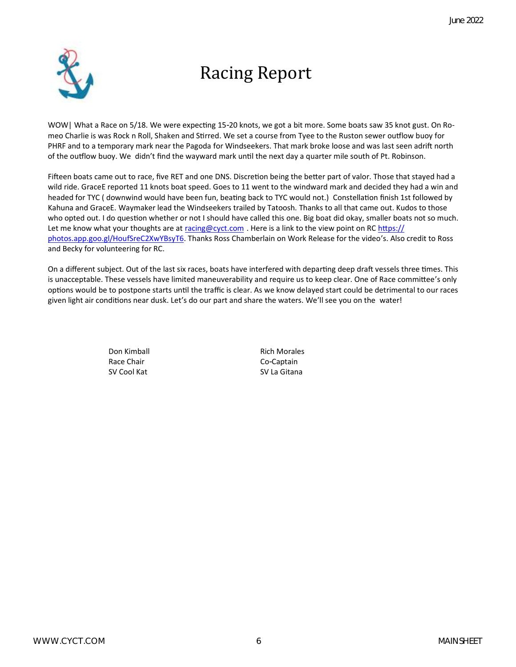

# Racing Report

WOW| What a Race on 5/18. We were expecting 15-20 knots, we got a bit more. Some boats saw 35 knot gust. On Romeo Charlie is was Rock n Roll, Shaken and Stirred. We set a course from Tyee to the Ruston sewer outflow buoy for PHRF and to a temporary mark near the Pagoda for Windseekers. That mark broke loose and was last seen adrift north of the outflow buoy. We didn't find the wayward mark until the next day a quarter mile south of Pt. Robinson.

Fifteen boats came out to race, five RET and one DNS. Discretion being the better part of valor. Those that stayed had a wild ride. GraceE reported 11 knots boat speed. Goes to 11 went to the windward mark and decided they had a win and headed for TYC ( downwind would have been fun, beating back to TYC would not.) Constellation finish 1st followed by Kahuna and GraceE. Waymaker lead the Windseekers trailed by Tatoosh. Thanks to all that came out. Kudos to those who opted out. I do question whether or not I should have called this one. Big boat did okay, smaller boats not so much. Let me know what your thoughts are at [racing@cyct.com](mailto:racing@cyct.com). Here is a link to the view point on RC [https://](https://photos.app.goo.gl/HoufSreC2XwYBsyT6) [photos.app.goo.gl/HoufSreC2XwYBsyT6.](https://photos.app.goo.gl/HoufSreC2XwYBsyT6) Thanks Ross Chamberlain on Work Release for the video's. Also credit to Ross and Becky for volunteering for RC.

On a different subject. Out of the last six races, boats have interfered with departing deep draft vessels three times. This is unacceptable. These vessels have limited maneuverability and require us to keep clear. One of Race committee's only options would be to postpone starts until the traffic is clear. As we know delayed start could be detrimental to our races given light air conditions near dusk. Let's do our part and share the waters. We'll see you on the water!

> Don Kimball **Rich Morales** Race Chair **Co-Captain** SV Cool Kat SV La Gitana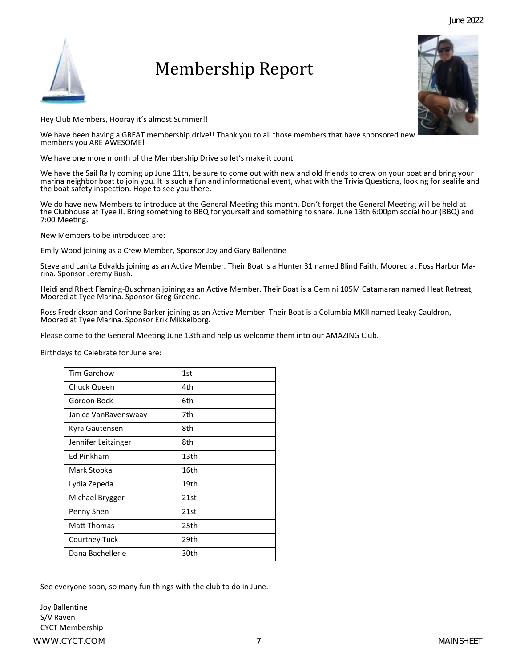Hey Club Members, Hooray it's almost Summer!!

We have been having a GREAT membership drive!! Thank you to all those members that have sponsored new members you ARE AWESOME!

Membership Report

We have one more month of the Membership Drive so let's make it count.

We have the Sail Rally coming up June 11th, be sure to come out with new and old friends to crew on your boat and bring your marina neighbor boat to join you. It is such a fun and informational event, what with the Trivia Questions, looking for sealife and the boat safety inspection. Hope to see you there.

We do have new Members to introduce at the General Meeting this month. Don't forget the General Meeting will be held at the Clubhouse at Tyee II. Bring something to BBQ for yourself and something to share. June 13th 6:00pm social hour (BBQ) and 7:00 Meeting.

New Members to be introduced are:

Emily Wood joining as a Crew Member, Sponsor Joy and Gary Ballentine

Steve and Lanita Edvalds joining as an Active Member. Their Boat is a Hunter 31 named Blind Faith, Moored at Foss Harbor Marina. Sponsor Jeremy Bush.

Heidi and Rhett Flaming-Buschman joining as an Active Member. Their Boat is a Gemini 105M Catamaran named Heat Retreat, Moored at Tyee Marina. Sponsor Greg Greene.

Ross Fredrickson and Corinne Barker joining as an Active Member. Their Boat is a Columbia MKII named Leaky Cauldron, Moored at Tyee Marina. Sponsor Erik Mikkelborg.

Please come to the General Meeting June 13th and help us welcome them into our AMAZING Club.

Birthdays to Celebrate for June are:

| <b>Tim Garchow</b>   | 1st              |
|----------------------|------------------|
| Chuck Queen          | 4th              |
| Gordon Bock          | 6th              |
| Janice VanRavenswaay | 7th              |
| Kyra Gautensen       | 8th              |
| Jennifer Leitzinger  | 8th              |
| Ed Pinkham           | 13 <sub>th</sub> |
| Mark Stopka          | 16th             |
| Lydia Zepeda         | 19th             |
| Michael Brygger      | 21st             |
| Penny Shen           | 21st             |
| Matt Thomas          | 25th             |
| Courtney Tuck        | 29th             |
| Dana Bachellerie     | 30th             |

See everyone soon, so many fun things with the club to do in June.

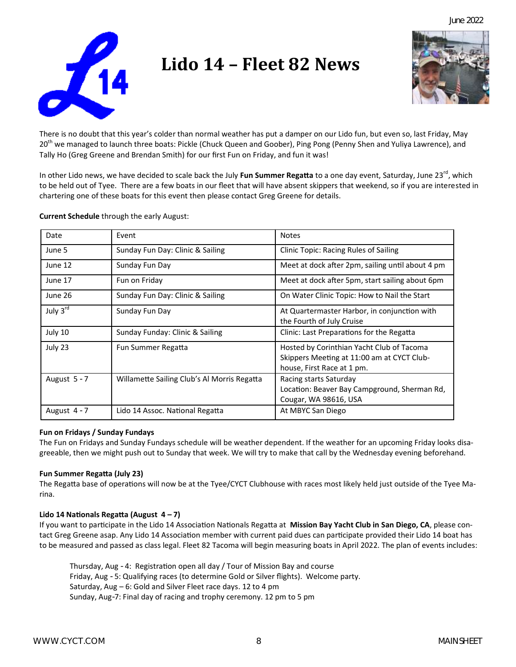

# **Lido 14 – Fleet 82 News**



There is no doubt that this year's colder than normal weather has put a damper on our Lido fun, but even so, last Friday, May 20<sup>th</sup> we managed to launch three boats: Pickle (Chuck Queen and Goober), Ping Pong (Penny Shen and Yuliya Lawrence), and Tally Ho (Greg Greene and Brendan Smith) for our first Fun on Friday, and fun it was!

In other Lido news, we have decided to scale back the July **Fun Summer Regatta** to a one day event, Saturday, June 23rd, which to be held out of Tyee. There are a few boats in our fleet that will have absent skippers that weekend, so if you are interested in chartering one of these boats for this event then please contact Greg Greene for details.

| Date         | Event                                       | <b>Notes</b>                                                                                                          |
|--------------|---------------------------------------------|-----------------------------------------------------------------------------------------------------------------------|
| June 5       | Sunday Fun Day: Clinic & Sailing            | <b>Clinic Topic: Racing Rules of Sailing</b>                                                                          |
| June 12      | Sunday Fun Day                              | Meet at dock after 2pm, sailing until about 4 pm                                                                      |
| June 17      | Fun on Friday                               | Meet at dock after 5pm, start sailing about 6pm                                                                       |
| June 26      | Sunday Fun Day: Clinic & Sailing            | On Water Clinic Topic: How to Nail the Start                                                                          |
| July 3rd     | Sunday Fun Day                              | At Quartermaster Harbor, in conjunction with<br>the Fourth of July Cruise                                             |
| July 10      | Sunday Funday: Clinic & Sailing             | Clinic: Last Preparations for the Regatta                                                                             |
| July 23      | Fun Summer Regatta                          | Hosted by Corinthian Yacht Club of Tacoma<br>Skippers Meeting at 11:00 am at CYCT Club-<br>house, First Race at 1 pm. |
| August 5 - 7 | Willamette Sailing Club's Al Morris Regatta | Racing starts Saturday<br>Location: Beaver Bay Campground, Sherman Rd,<br>Cougar, WA 98616, USA                       |
| August 4 - 7 | Lido 14 Assoc. National Regatta             | At MBYC San Diego                                                                                                     |

**Current Schedule** through the early August:

### **Fun on Fridays / Sunday Fundays**

The Fun on Fridays and Sunday Fundays schedule will be weather dependent. If the weather for an upcoming Friday looks disagreeable, then we might push out to Sunday that week. We will try to make that call by the Wednesday evening beforehand.

### **Fun Summer Regatta (July 23)**

The Regatta base of operations will now be at the Tyee/CYCT Clubhouse with races most likely held just outside of the Tyee Marina.

### **Lido 14 Nationals Regatta (August 4 – 7)**

If you want to participate in the Lido 14 Association Nationals Regatta at **Mission Bay Yacht Club in San Diego, CA**, please contact Greg Greene asap. Any Lido 14 Association member with current paid dues can participate provided their Lido 14 boat has to be measured and passed as class legal. Fleet 82 Tacoma will begin measuring boats in April 2022. The plan of events includes:

Thursday, Aug - 4: Registration open all day / Tour of Mission Bay and course Friday, Aug - 5: Qualifying races (to determine Gold or Silver flights). Welcome party. Saturday, Aug – 6: Gold and Silver Fleet race days. 12 to 4 pm Sunday, Aug-7: Final day of racing and trophy ceremony. 12 pm to 5 pm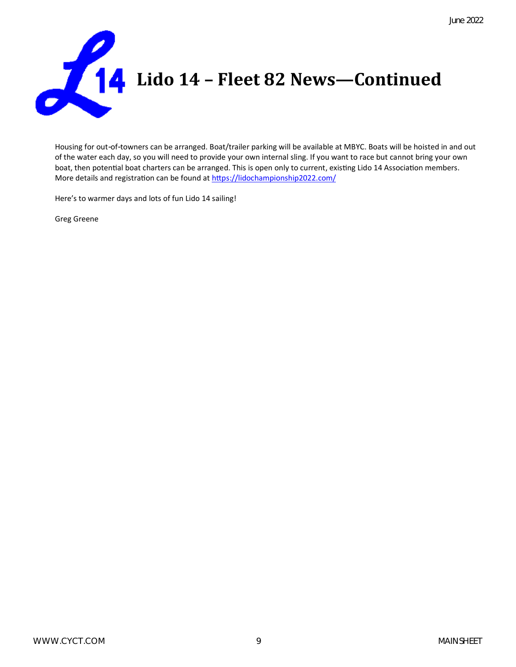

Housing for out-of-towners can be arranged. Boat/trailer parking will be available at MBYC. Boats will be hoisted in and out of the water each day, so you will need to provide your own internal sling. If you want to race but cannot bring your own boat, then potential boat charters can be arranged. This is open only to current, existing Lido 14 Association members. More details and registration can be found at<https://lidochampionship2022.com/>

Here's to warmer days and lots of fun Lido 14 sailing!

Greg Greene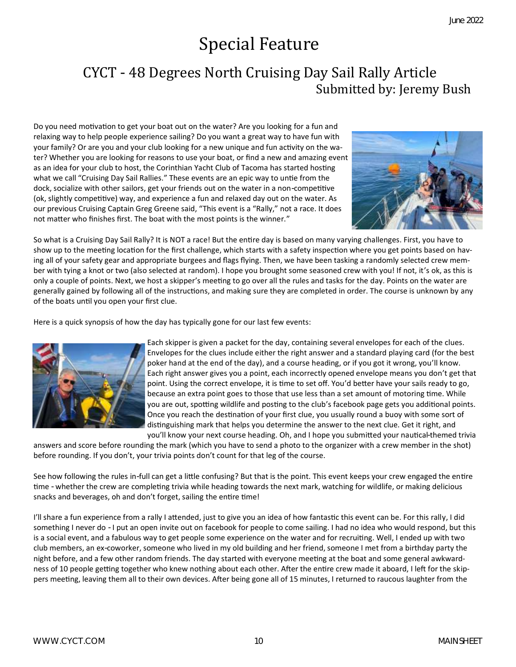# Special Feature

## CYCT - 48 Degrees North Cruising Day Sail Rally Article Submitted by: Jeremy Bush

Do you need motivation to get your boat out on the water? Are you looking for a fun and relaxing way to help people experience sailing? Do you want a great way to have fun with your family? Or are you and your club looking for a new unique and fun activity on the water? Whether you are looking for reasons to use your boat, or find a new and amazing event as an idea for your club to host, the Corinthian Yacht Club of Tacoma has started hosting what we call "Cruising Day Sail Rallies." These events are an epic way to untie from the dock, socialize with other sailors, get your friends out on the water in a non-competitive (ok, slightly competitive) way, and experience a fun and relaxed day out on the water. As our previous Cruising Captain Greg Greene said, "This event is a "Rally," not a race. It does not matter who finishes first. The boat with the most points is the winner."



So what is a Cruising Day Sail Rally? It is NOT a race! But the entire day is based on many varying challenges. First, you have to show up to the meeting location for the first challenge, which starts with a safety inspection where you get points based on having all of your safety gear and appropriate burgees and flags flying. Then, we have been tasking a randomly selected crew member with tying a knot or two (also selected at random). I hope you brought some seasoned crew with you! If not, it's ok, as this is only a couple of points. Next, we host a skipper's meeting to go over all the rules and tasks for the day. Points on the water are generally gained by following all of the instructions, and making sure they are completed in order. The course is unknown by any of the boats until you open your first clue.

Here is a quick synopsis of how the day has typically gone for our last few events:



Each skipper is given a packet for the day, containing several envelopes for each of the clues. Envelopes for the clues include either the right answer and a standard playing card (for the best poker hand at the end of the day), and a course heading, or if you got it wrong, you'll know. Each right answer gives you a point, each incorrectly opened envelope means you don't get that point. Using the correct envelope, it is time to set off. You'd better have your sails ready to go, because an extra point goes to those that use less than a set amount of motoring time. While you are out, spotting wildlife and posting to the club's facebook page gets you additional points. Once you reach the destination of your first clue, you usually round a buoy with some sort of distinguishing mark that helps you determine the answer to the next clue. Get it right, and you'll know your next course heading. Oh, and I hope you submitted your nautical-themed trivia

answers and score before rounding the mark (which you have to send a photo to the organizer with a crew member in the shot) before rounding. If you don't, your trivia points don't count for that leg of the course.

See how following the rules in-full can get a little confusing? But that is the point. This event keeps your crew engaged the entire time - whether the crew are completing trivia while heading towards the next mark, watching for wildlife, or making delicious snacks and beverages, oh and don't forget, sailing the entire time!

I'll share a fun experience from a rally I attended, just to give you an idea of how fantastic this event can be. For this rally, I did something I never do - I put an open invite out on facebook for people to come sailing. I had no idea who would respond, but this is a social event, and a fabulous way to get people some experience on the water and for recruiting. Well, I ended up with two club members, an ex-coworker, someone who lived in my old building and her friend, someone I met from a birthday party the night before, and a few other random friends. The day started with everyone meeting at the boat and some general awkwardness of 10 people getting together who knew nothing about each other. After the entire crew made it aboard, I left for the skippers meeting, leaving them all to their own devices. After being gone all of 15 minutes, I returned to raucous laughter from the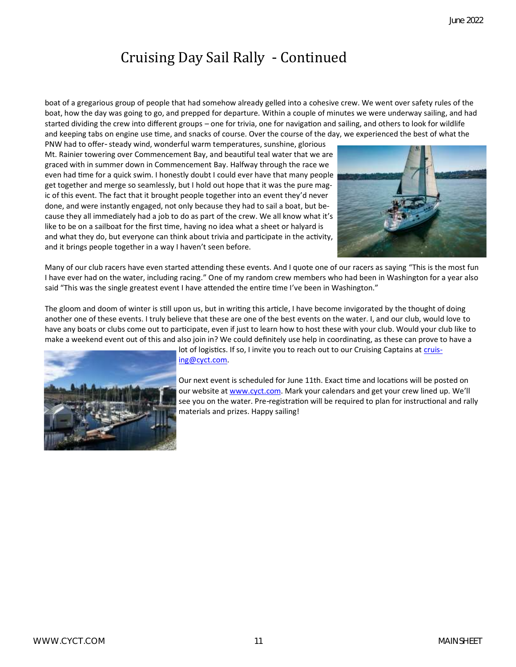## Cruising Day Sail Rally - Continued

boat of a gregarious group of people that had somehow already gelled into a cohesive crew. We went over safety rules of the boat, how the day was going to go, and prepped for departure. Within a couple of minutes we were underway sailing, and had started dividing the crew into different groups – one for trivia, one for navigation and sailing, and others to look for wildlife and keeping tabs on engine use time, and snacks of course. Over the course of the day, we experienced the best of what the

PNW had to offer- steady wind, wonderful warm temperatures, sunshine, glorious Mt. Rainier towering over Commencement Bay, and beautiful teal water that we are graced with in summer down in Commencement Bay. Halfway through the race we even had time for a quick swim. I honestly doubt I could ever have that many people get together and merge so seamlessly, but I hold out hope that it was the pure magic of this event. The fact that it brought people together into an event they'd never done, and were instantly engaged, not only because they had to sail a boat, but because they all immediately had a job to do as part of the crew. We all know what it's like to be on a sailboat for the first time, having no idea what a sheet or halyard is and what they do, but everyone can think about trivia and participate in the activity, and it brings people together in a way I haven't seen before.



Many of our club racers have even started attending these events. And I quote one of our racers as saying "This is the most fun I have ever had on the water, including racing." One of my random crew members who had been in Washington for a year also said "This was the single greatest event I have attended the entire time I've been in Washington."

The gloom and doom of winter is still upon us, but in writing this article, I have become invigorated by the thought of doing another one of these events. I truly believe that these are one of the best events on the water. I, and our club, would love to have any boats or clubs come out to participate, even if just to learn how to host these with your club. Would your club like to make a weekend event out of this and also join in? We could definitely use help in coordinating, as these can prove to have a



[ing@cyct.com.](mailto:cruising@cyct.com)

Our next event is scheduled for June 11th. Exact time and locations will be posted on our website at [www.cyct.com.](http://www.cyct.com) Mark your calendars and get your crew lined up. We'll see you on the water. Pre-registration will be required to plan for instructional and rally materials and prizes. Happy sailing!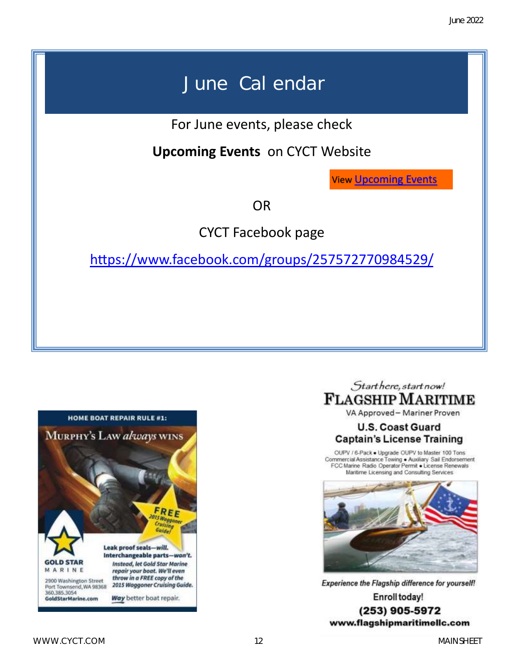# June Calendar

For June events, please check

**Upcoming Events** on CYCT Website

View [Upcoming Events](https://cyct.com/events/month/2022-06/)

OR

CYCT Facebook page

<https://www.facebook.com/groups/257572770984529/>





VA Approved-Mariner Proven

## **U.S. Coast Guard Captain's License Training**

OUPV / 6-Pack . Upgrade OUPV to Master 100 Tons Commercial Assistance Towing . Auxiliary Sail Endorsement<br>FCC Marine Radio Operator Permit . License Renewals Maritime Licensing and Consulting Services



Experience the Flagship difference for yourself! Enroll today! (253) 905-5972 www.flagshipmaritimellc.com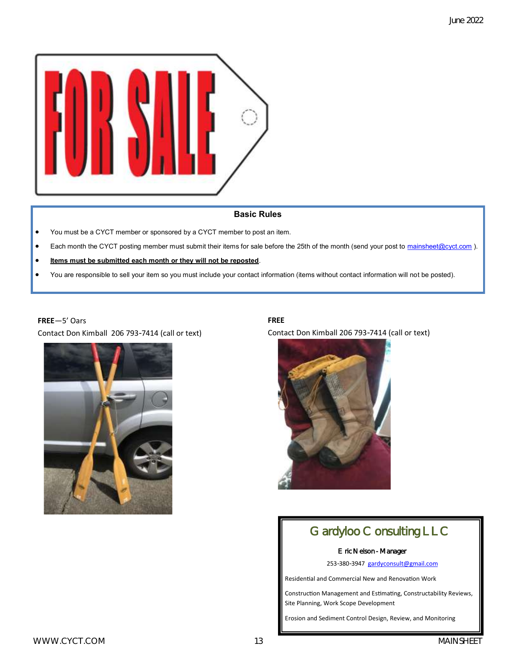

## **Basic Rules**

- You must be a CYCT member or sponsored by a CYCT member to post an item.
- Each month the CYCT posting member must submit their items for sale before the 25th of the month (send your post to [mainsheet@cyct.com](mailto:jcoyne@live.com?subject=Post%20for%20sale%20in%20Mainsheet)).
- **Items must be submitted each month or they will not be reposted**.
- You are responsible to sell your item so you must include your contact information (items without contact information will not be posted).

### **FREE**—5' Oars

Contact Don Kimball 206 793-7414 (call or text)



### **FREE**

Contact Don Kimball 206 793-7414 (call or text)



## Gardyloo Consulting LLC

#### Eric Nelson - Manager

253-380-3947 [gardyconsult@gmail.com](mailto:gardyconsult@gmail.com)

Residential and Commercial New and Renovation Work

Construction Management and Estimating, Constructability Reviews, Site Planning, Work Scope Development

Erosion and Sediment Control Design, Review, and Monitoring